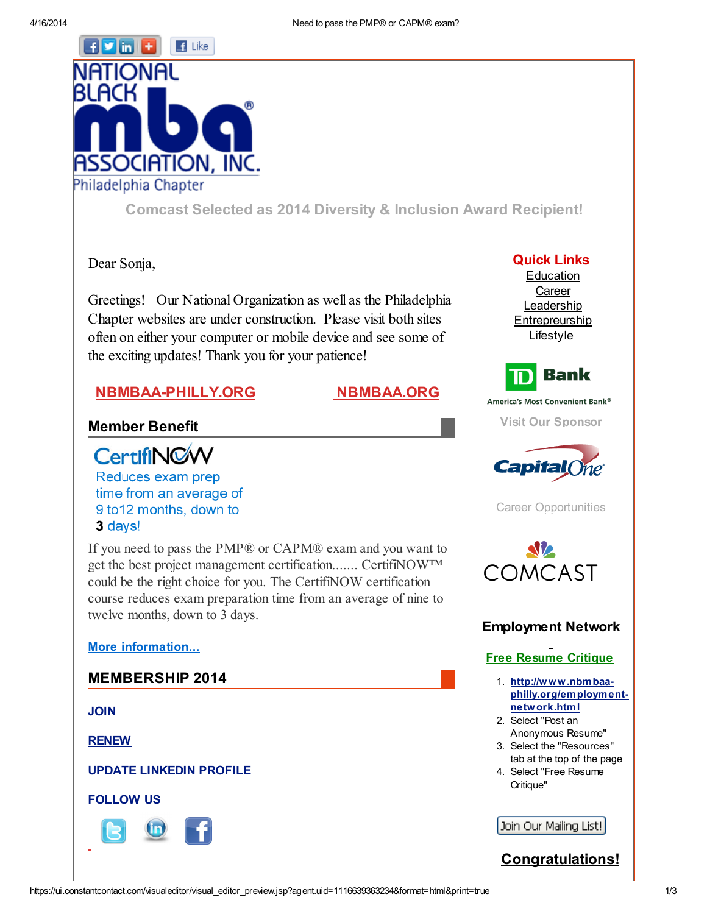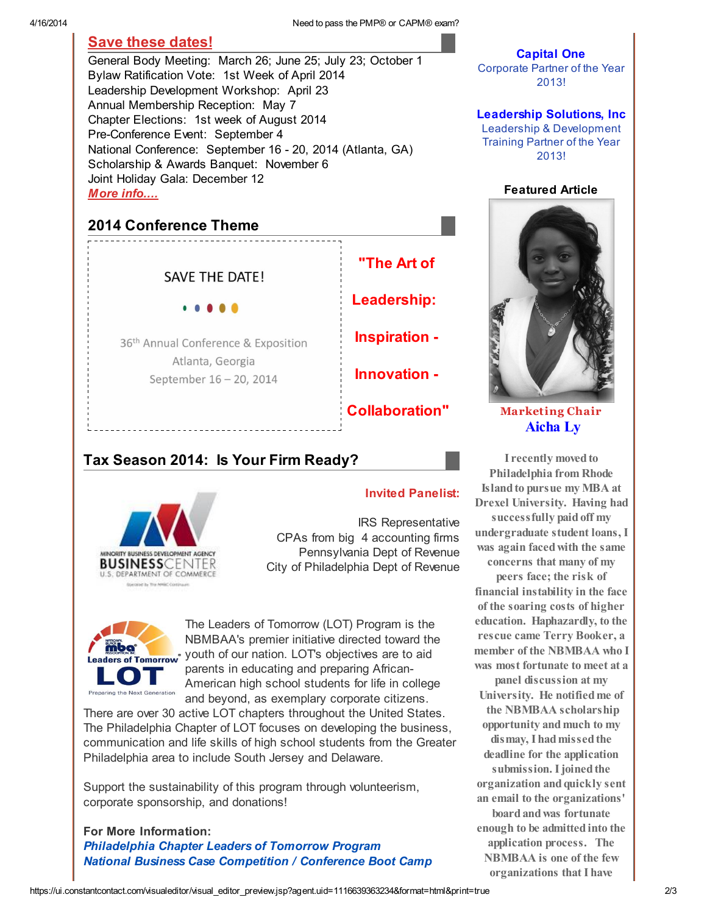4/16/2014 Need to pass the PMP® or CAPM® exam?

## Save these [dates!](http://r20.rs6.net/tn.jsp?e=0013PfHb8TO2aVYn54mBHHX1CXReeId4VvOHCO_LLIN45VD5z4DjCROEYYKFcNujSLvyWSvEDIeKh4aOBc628M8MRl8HyXF-K1DioZ2f2cabD6P27dbsNSlcmGqRxn6hNMckDJMBC1ZZLM=)

General Body Meeting: March 26; June 25; July 23; October 1 Bylaw Ratification Vote: 1st Week of April 2014 Leadership Development Workshop: April 23 Annual Membership Reception: May 7 Chapter Elections: 1st week of August 2014 Pre-Conference Event: September 4 National Conference: September 16 - 20, 2014 (Atlanta, GA) Scholarship & Awards Banquet: November 6 Joint Holiday Gala: December 12 More [info....](http://r20.rs6.net/tn.jsp?e=0013PfHb8TO2aVYn54mBHHX1CXReeId4VvOHCO_LLIN45VD5z4DjCROEYYKFcNujSLvyWSvEDIeKh4aOBc628M8MRl8HyXF-K1DioZ2f2cabD6P27dbsNSlcmGqRxn6hNMckDJMBC1ZZLM=)

# 2014 Conference Theme

**SAVE THE DATE!** 

36<sup>th</sup> Annual Conference & Exposition Atlanta, Georgia September 16 - 20, 2014



# Tax Season 2014: Is Your Firm Ready?



#### Invited Panelist:

IRS Representative CPAs from big 4 accounting firms Pennsylvania Dept of Revenue City of Philadelphia Dept of Revenue



The Leaders of Tomorrow (LOT) Program is the NBMBAA's premier initiative directed toward the youth of our nation. LOT's objectives are to aid parents in educating and preparing African-American high school students for life in college and beyond, as exemplary corporate citizens.

There are over 30 active LOT chapters throughout the United States. The Philadelphia Chapter of LOT focuses on developing the business, communication and life skills of high school students from the Greater Philadelphia area to include South Jersey and Delaware.

Support the sustainability of this program through volunteerism, corporate sponsorship, and donations!

#### For More Information: [Philadelphia](http://r20.rs6.net/tn.jsp?e=0013PfHb8TO2aVYn54mBHHX1CXReeId4VvOHCO_LLIN45VD5z4DjCROEYYKFcNujSLvyWSvEDIeKh4aOBc628M8MRl8HyXF-K1DioZ2f2cabD4su78CYAANIHss30tYrLMf7KrC86Yrpiw=) Chapter Leaders of Tomorrow Program National Business Case [Competition](http://r20.rs6.net/tn.jsp?e=0013PfHb8TO2aVYn54mBHHX1CXReeId4VvOHCO_LLIN45VD5z4DjCROEYYKFcNujSLvyWSvEDIeKh74QE8SW2zvcjN5pV6P1J4-ur-zevTBOkcqwhYPlXbgoo21MHgefc7q82UhT7yfQPE=) / Conference Boot Camp

### Capital One

Corporate Partner of the Year 2013!

### Leadership Solutions, Inc

Leadership & Development Training Partner of the Year 2013!

#### Featured Article



[M](http://r20.rs6.net/tn.jsp?e=0013PfHb8TO2aVYn54mBHHX1CXReeId4VvOHCO_LLIN45VD5z4DjCROEYYKFcNujSLvyWSvEDIeKh4aOBc628M8MRl8HyXF-K1DioZ2f2cabD4su78CYAANIHss30tYrLMf7KrC86Yrpiw=)[arketing](http://r20.rs6.net/tn.jsp?e=0013PfHb8TO2aVYn54mBHHX1CXReeId4VvOHCO_LLIN45VD5z4DjCROEYYKFcNujSLvyWSvEDIeKh5V4moHPtJVvFcfJZhnu9R1hX_V6eQoNWk0ZfxbT2RObnn8g6WAZZcJ) Chair [Aicha](http://r20.rs6.net/tn.jsp?e=0013PfHb8TO2aVYn54mBHHX1CXReeId4VvOHCO_LLIN45VD5z4DjCROEYYKFcNujSLvyWSvEDIeKh5V4moHPtJVvFcfJZhnu9R11Wol-mYd1U_emrepi9HIDuwcmjtEoBZHDYDiWq6xE92UA24QcdDLBQ==) Ly

I recently moved to Philadelphia from Rhode Island to pursue my MBA at Drexel University. Having had successfully paidoff my undergraduate student loans, I was again facedwith the same concerns that many of my peers face; the risk of financial instability in the face of the soaring costs of higher education. Haphazardly, to the rescue came Terry Booker, a member of the NBMBAA who I was most fortunate to meet at a panel discussion at my University. He notifiedme of the NBMBAA scholarship opportunity andmuch to my dismay, I had missed the deadline for the application submission. I joined the organization andquickly sent an email to the organizations' board and was fortunate enough to be admittedinto the application process. The NBMBAA is one of the few organizations that I have